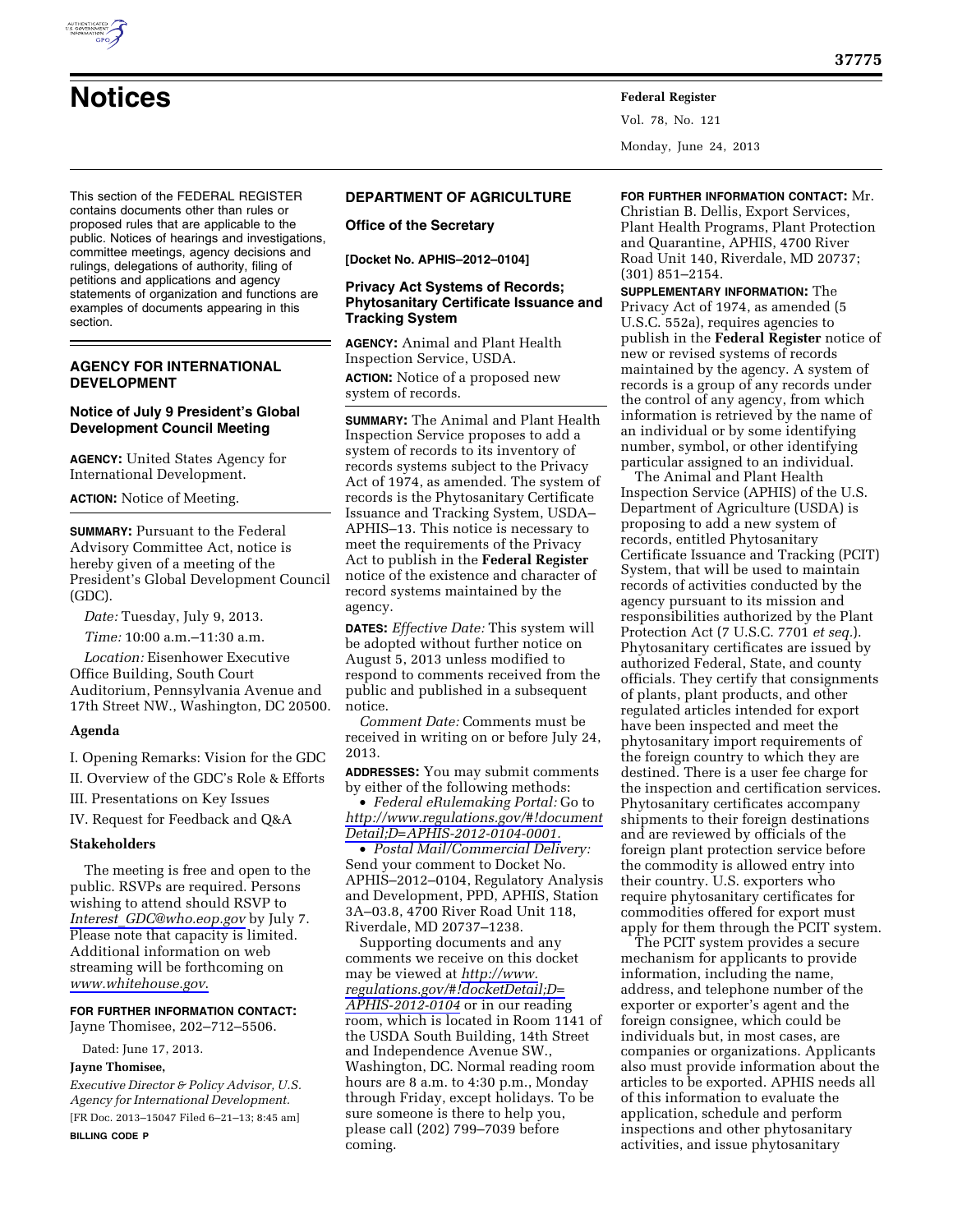

Vol. 78, No. 121 Monday, June 24, 2013

This section of the FEDERAL REGISTER contains documents other than rules or proposed rules that are applicable to the public. Notices of hearings and investigations, committee meetings, agency decisions and rulings, delegations of authority, filing of petitions and applications and agency statements of organization and functions are examples of documents appearing in this section.

# **AGENCY FOR INTERNATIONAL DEVELOPMENT**

# **Notice of July 9 President's Global Development Council Meeting**

**AGENCY:** United States Agency for International Development.

**ACTION:** Notice of Meeting.

**SUMMARY: Pursuant to the Federal** Advisory Committee Act, notice is hereby given of a meeting of the President's Global Development Council (GDC).

*Date:* Tuesday, July 9, 2013.

*Time:* 10:00 a.m.–11:30 a.m.

*Location:* Eisenhower Executive Office Building, South Court Auditorium, Pennsylvania Avenue and 17th Street NW., Washington, DC 20500.

## **Agenda**

I. Opening Remarks: Vision for the GDC

II. Overview of the GDC's Role & Efforts

III. Presentations on Key Issues

IV. Request for Feedback and Q&A

## **Stakeholders**

The meeting is free and open to the public. RSVPs are required. Persons wishing to attend should RSVP to *Interest*\_*[GDC@who.eop.gov](mailto:Interest_GDC@who.eop.gov)* by July 7. Please note that capacity is limited. Additional information on web streaming will be forthcoming on *[www.whitehouse.gov](http://www.whitehouse.gov)*.

# **FOR FURTHER INFORMATION CONTACT:**

Jayne Thomisee, 202–712–5506.

Dated: June 17, 2013.

# **Jayne Thomisee,**

*Executive Director & Policy Advisor, U.S. Agency for International Development.*  [FR Doc. 2013–15047 Filed 6–21–13; 8:45 am] **BILLING CODE P** 

# **DEPARTMENT OF AGRICULTURE**

### **Office of the Secretary**

**[Docket No. APHIS–2012–0104]** 

# **Privacy Act Systems of Records; Phytosanitary Certificate Issuance and Tracking System**

**AGENCY:** Animal and Plant Health Inspection Service, USDA. **ACTION:** Notice of a proposed new system of records.

**SUMMARY:** The Animal and Plant Health Inspection Service proposes to add a system of records to its inventory of records systems subject to the Privacy Act of 1974, as amended. The system of records is the Phytosanitary Certificate Issuance and Tracking System, USDA– APHIS–13. This notice is necessary to meet the requirements of the Privacy Act to publish in the **Federal Register**  notice of the existence and character of record systems maintained by the agency.

**DATES:** *Effective Date:* This system will be adopted without further notice on August 5, 2013 unless modified to respond to comments received from the public and published in a subsequent notice.

*Comment Date:* Comments must be received in writing on or before July 24, 2013.

**ADDRESSES:** You may submit comments by either of the following methods:

• *Federal eRulemaking Portal:* Go to *[http://www.regulations.gov/#!document](http://www.regulations.gov/#!documentDetail;D=APHIS-2012-0104-0001) [Detail;D=APHIS-2012-0104-0001.](http://www.regulations.gov/#!documentDetail;D=APHIS-2012-0104-0001)* 

• *Postal Mail/Commercial Delivery:*  Send your comment to Docket No. APHIS–2012–0104, Regulatory Analysis and Development, PPD, APHIS, Station 3A–03.8, 4700 River Road Unit 118, Riverdale, MD 20737–1238.

Supporting documents and any comments we receive on this docket may be viewed at *[http://www.](http://www.regulations.gov/#!docketDetail;D=APHIS-2012-0104) [regulations.gov/#!docketDetail;D=](http://www.regulations.gov/#!docketDetail;D=APHIS-2012-0104) [APHIS-2012-0104](http://www.regulations.gov/#!docketDetail;D=APHIS-2012-0104)* or in our reading room, which is located in Room 1141 of the USDA South Building, 14th Street and Independence Avenue SW., Washington, DC. Normal reading room hours are 8 a.m. to 4:30 p.m., Monday through Friday, except holidays. To be sure someone is there to help you, please call (202) 799–7039 before coming.

**FOR FURTHER INFORMATION CONTACT:** Mr. Christian B. Dellis, Export Services, Plant Health Programs, Plant Protection and Quarantine, APHIS, 4700 River Road Unit 140, Riverdale, MD 20737; (301) 851–2154.

**SUPPLEMENTARY INFORMATION:** The Privacy Act of 1974, as amended (5 U.S.C. 552a), requires agencies to publish in the **Federal Register** notice of new or revised systems of records maintained by the agency. A system of records is a group of any records under the control of any agency, from which information is retrieved by the name of an individual or by some identifying number, symbol, or other identifying particular assigned to an individual.

The Animal and Plant Health Inspection Service (APHIS) of the U.S. Department of Agriculture (USDA) is proposing to add a new system of records, entitled Phytosanitary Certificate Issuance and Tracking (PCIT) System, that will be used to maintain records of activities conducted by the agency pursuant to its mission and responsibilities authorized by the Plant Protection Act (7 U.S.C. 7701 *et seq.*). Phytosanitary certificates are issued by authorized Federal, State, and county officials. They certify that consignments of plants, plant products, and other regulated articles intended for export have been inspected and meet the phytosanitary import requirements of the foreign country to which they are destined. There is a user fee charge for the inspection and certification services. Phytosanitary certificates accompany shipments to their foreign destinations and are reviewed by officials of the foreign plant protection service before the commodity is allowed entry into their country. U.S. exporters who require phytosanitary certificates for commodities offered for export must apply for them through the PCIT system.

The PCIT system provides a secure mechanism for applicants to provide information, including the name, address, and telephone number of the exporter or exporter's agent and the foreign consignee, which could be individuals but, in most cases, are companies or organizations. Applicants also must provide information about the articles to be exported. APHIS needs all of this information to evaluate the application, schedule and perform inspections and other phytosanitary activities, and issue phytosanitary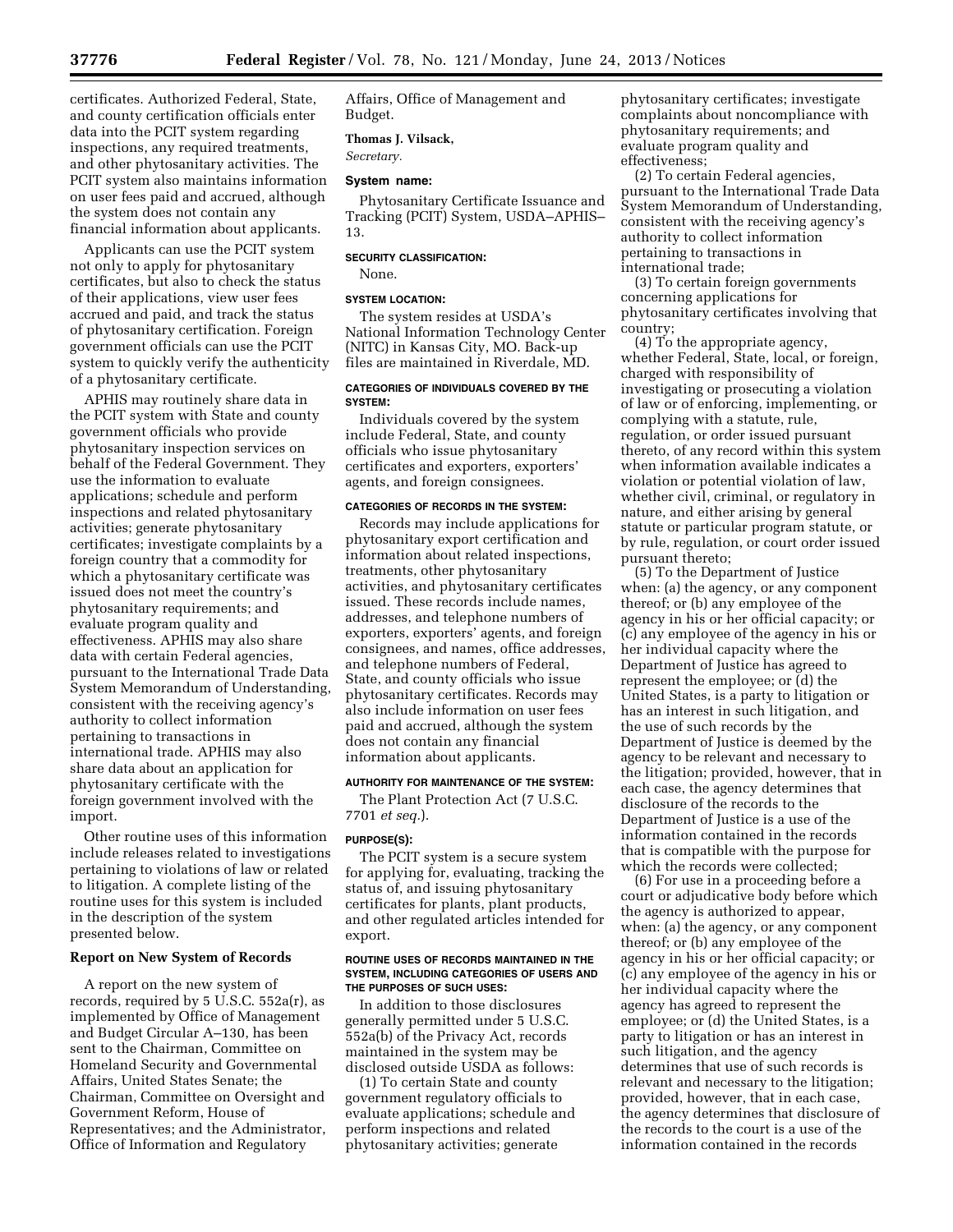certificates. Authorized Federal, State, and county certification officials enter data into the PCIT system regarding inspections, any required treatments, and other phytosanitary activities. The PCIT system also maintains information on user fees paid and accrued, although the system does not contain any financial information about applicants.

Applicants can use the PCIT system not only to apply for phytosanitary certificates, but also to check the status of their applications, view user fees accrued and paid, and track the status of phytosanitary certification. Foreign government officials can use the PCIT system to quickly verify the authenticity of a phytosanitary certificate.

APHIS may routinely share data in the PCIT system with State and county government officials who provide phytosanitary inspection services on behalf of the Federal Government. They use the information to evaluate applications; schedule and perform inspections and related phytosanitary activities; generate phytosanitary certificates; investigate complaints by a foreign country that a commodity for which a phytosanitary certificate was issued does not meet the country's phytosanitary requirements; and evaluate program quality and effectiveness. APHIS may also share data with certain Federal agencies, pursuant to the International Trade Data System Memorandum of Understanding, consistent with the receiving agency's authority to collect information pertaining to transactions in international trade. APHIS may also share data about an application for phytosanitary certificate with the foreign government involved with the import.

Other routine uses of this information include releases related to investigations pertaining to violations of law or related to litigation. A complete listing of the routine uses for this system is included in the description of the system presented below.

## **Report on New System of Records**

A report on the new system of records, required by 5 U.S.C. 552a(r), as implemented by Office of Management and Budget Circular A–130, has been sent to the Chairman, Committee on Homeland Security and Governmental Affairs, United States Senate; the Chairman, Committee on Oversight and Government Reform, House of Representatives; and the Administrator, Office of Information and Regulatory

Affairs, Office of Management and Budget.

## **Thomas J. Vilsack,**

*Secretary.* 

## **System name:**

Phytosanitary Certificate Issuance and Tracking (PCIT) System, USDA–APHIS– 13.

# **SECURITY CLASSIFICATION:**  None.

# **SYSTEM LOCATION:**

The system resides at USDA's National Information Technology Center (NITC) in Kansas City, MO. Back-up files are maintained in Riverdale, MD.

### **CATEGORIES OF INDIVIDUALS COVERED BY THE SYSTEM:**

Individuals covered by the system include Federal, State, and county officials who issue phytosanitary certificates and exporters, exporters' agents, and foreign consignees.

### **CATEGORIES OF RECORDS IN THE SYSTEM:**

Records may include applications for phytosanitary export certification and information about related inspections, treatments, other phytosanitary activities, and phytosanitary certificates issued. These records include names, addresses, and telephone numbers of exporters, exporters' agents, and foreign consignees, and names, office addresses, and telephone numbers of Federal, State, and county officials who issue phytosanitary certificates. Records may also include information on user fees paid and accrued, although the system does not contain any financial information about applicants.

# **AUTHORITY FOR MAINTENANCE OF THE SYSTEM:**

The Plant Protection Act (7 U.S.C. 7701 *et seq.*).

#### **PURPOSE(S):**

The PCIT system is a secure system for applying for, evaluating, tracking the status of, and issuing phytosanitary certificates for plants, plant products, and other regulated articles intended for export.

#### **ROUTINE USES OF RECORDS MAINTAINED IN THE SYSTEM, INCLUDING CATEGORIES OF USERS AND THE PURPOSES OF SUCH USES:**

In addition to those disclosures generally permitted under 5 U.S.C. 552a(b) of the Privacy Act, records maintained in the system may be disclosed outside USDA as follows:

(1) To certain State and county government regulatory officials to evaluate applications; schedule and perform inspections and related phytosanitary activities; generate

phytosanitary certificates; investigate complaints about noncompliance with phytosanitary requirements; and evaluate program quality and effectiveness;

(2) To certain Federal agencies, pursuant to the International Trade Data System Memorandum of Understanding, consistent with the receiving agency's authority to collect information pertaining to transactions in international trade;

(3) To certain foreign governments concerning applications for phytosanitary certificates involving that country;

(4) To the appropriate agency, whether Federal, State, local, or foreign, charged with responsibility of investigating or prosecuting a violation of law or of enforcing, implementing, or complying with a statute, rule, regulation, or order issued pursuant thereto, of any record within this system when information available indicates a violation or potential violation of law, whether civil, criminal, or regulatory in nature, and either arising by general statute or particular program statute, or by rule, regulation, or court order issued pursuant thereto;

(5) To the Department of Justice when: (a) the agency, or any component thereof; or (b) any employee of the agency in his or her official capacity; or (c) any employee of the agency in his or her individual capacity where the Department of Justice has agreed to represent the employee; or (d) the United States, is a party to litigation or has an interest in such litigation, and the use of such records by the Department of Justice is deemed by the agency to be relevant and necessary to the litigation; provided, however, that in each case, the agency determines that disclosure of the records to the Department of Justice is a use of the information contained in the records that is compatible with the purpose for which the records were collected;

(6) For use in a proceeding before a court or adjudicative body before which the agency is authorized to appear, when: (a) the agency, or any component thereof; or (b) any employee of the agency in his or her official capacity; or (c) any employee of the agency in his or her individual capacity where the agency has agreed to represent the employee; or (d) the United States, is a party to litigation or has an interest in such litigation, and the agency determines that use of such records is relevant and necessary to the litigation; provided, however, that in each case, the agency determines that disclosure of the records to the court is a use of the information contained in the records